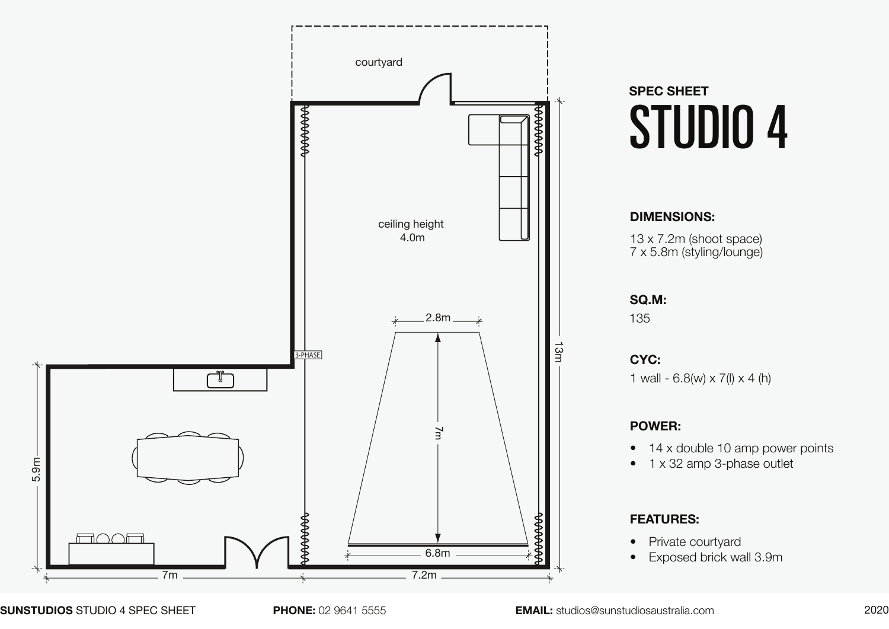

# **SPEC SHEET** STUDIO 4

## **DIMENSIONS:**

13 x 7.2m (shoot space) 7 x 5.8m (styling/lounge)

### **SQ.M:**

135

1 wall -  $6.8(w) \times 7(l) \times 4(h)$ **CYC:**

## **POWER:**

- 14 x double 10 amp power points
- 1 x 32 amp 3-phase outlet

## **FEATURES:**

- Private courtyard
- Exposed brick wall 3.9m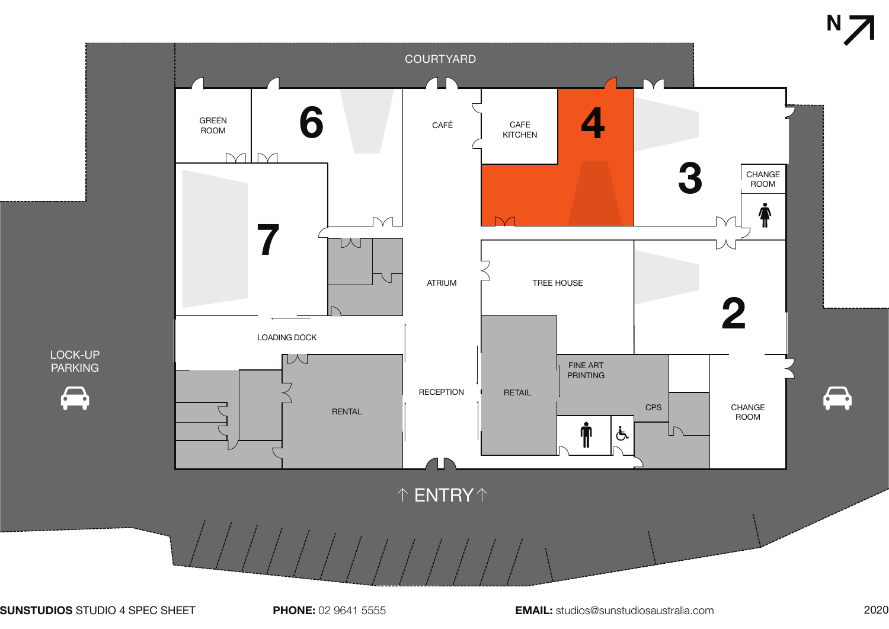